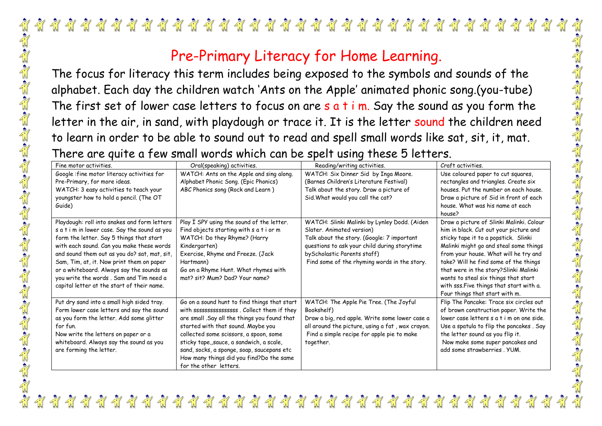## $\frac{1}{\sqrt{2}}$  $\frac{1}{2}$   $\frac{1}{2}$   $\frac{1}{2}$  $\sqrt{\frac{1}{n}}$  $\frac{1}{2}$  $\frac{1}{2}$  $\frac{1}{\sqrt{2}}$  $\frac{1}{2}$  $\frac{1}{2}$  $\frac{1}{\sqrt{n}}$  $\sqrt{\frac{1}{10}}$  $\sqrt{\frac{1}{\Lambda}}$ والمقام المراجع والمتواطن المراجع والمتواطن والمتعام والمتواطن المتعام والمتعام والمتعام والمتعام والمتعام والمتعام والمتعام المتعام والمتعام والمتعام المتعام والمتعام المتعام المتعام المتعام المتعام المتعام المتعام المتعا

## Pre-Primary Literacy for Home Learning.

The focus for literacy this term includes being exposed to the symbols and sounds of the alphabet. Each day the children watch 'Ants on the Apple' animated phonic song.(you-tube) The first set of lower case letters to focus on are  $s$  a t i m. Say the sound as you form the letter in the air, in sand, with playdough or trace it. It is the letter sound the children need to learn in order to be able to sound out to read and spell small words like sat, sit, it, mat. There are quite a few small words which can be spelt using these 5 letters.

| Fine motor activities.                                                                                                                                                                                                                                                                                                                                                                                                    | Oral(speaking) activities.                                                                                                                                                                                                                                                                                                                                                                       | Reading/writing activities.                                                                                                                                                                                                                             | Craft activities.                                                                                                                                                                                                                                                                                                                                                                                                     |
|---------------------------------------------------------------------------------------------------------------------------------------------------------------------------------------------------------------------------------------------------------------------------------------------------------------------------------------------------------------------------------------------------------------------------|--------------------------------------------------------------------------------------------------------------------------------------------------------------------------------------------------------------------------------------------------------------------------------------------------------------------------------------------------------------------------------------------------|---------------------------------------------------------------------------------------------------------------------------------------------------------------------------------------------------------------------------------------------------------|-----------------------------------------------------------------------------------------------------------------------------------------------------------------------------------------------------------------------------------------------------------------------------------------------------------------------------------------------------------------------------------------------------------------------|
| Google : fine motor literacy activities for<br>Pre-Primary, for more ideas.<br>WATCH: 3 easy activities to teach your<br>youngster how to hold a pencil. (The OT<br>Guide)                                                                                                                                                                                                                                                | WATCH: Ants on the Apple and sing along.<br>Alphabet Phonic Song. (Epic Phonics)<br>ABC Phonics song (Rock and Learn)                                                                                                                                                                                                                                                                            | WATCH: Six Dinner Sid by Inga Moore.<br>(Barnes Children's Literature Festival)<br>Talk about the story. Draw a picture of<br>Sid. What would you call the cat?                                                                                         | Use coloured paper to cut squares,<br>rectangles and triangles. Create six<br>houses. Put the number on each house.<br>Draw a picture of Sid in front of each<br>house. What was his name at each<br>house?                                                                                                                                                                                                           |
| Playdough: roll into snakes and form letters<br>s a t i m in lower case. Say the sound as you<br>form the letter. Say 5 things that start<br>with each sound. Can you make these words<br>and sound them out as you do? sat, mat, sit,<br>Sam, Tim, at, it. Now print them on paper<br>or a whiteboard. Always say the sounds as<br>you write the words. Sam and Tim need a<br>capital letter at the start of their name. | Play I SPY using the sound of the letter.<br>Find objects starting with s a t i or m<br>WATCH: Do they Rhyme? (Harry<br>Kindergarten)<br>Exercise, Rhyme and Freeze. (Jack<br>Hartmann)<br>Go on a Rhyme Hunt. What rhymes with<br>mat? sit? Mum? Dad? Your name?                                                                                                                                | WATCH: Slinki Malinki by Lynley Dodd. (Aiden<br>Slater. Animated version)<br>Talk about the story. (Google: 7 important<br>questions to ask your child during storytime<br>by Scholastic Parents staff)<br>Find some of the rhyming words in the story. | Draw a picture of Slinki Malinki. Colour<br>him in black. Cut out your picture and<br>sticky tape it to a popstick. Slinki<br>Malinki might go and steal some things<br>from your house. What will he try and<br>take? Will he find some of the things<br>that were in the story?Slinki Malinki<br>wants to steal six things that start<br>with sss. Five things that start with a.<br>Four things that start with m. |
| Put dry sand into a small high sided tray.<br>Form lower case letters and say the sound<br>as you form the letter. Add some glitter<br>for fun.<br>Now write the letters on paper or a<br>whiteboard. Always say the sound as you<br>are forming the letter.                                                                                                                                                              | Go on a sound hunt to find things that start<br>with ssssssssssssssssss . Collect them if they<br>are small .Say all the things you found that<br>started with that sound. Maybe you<br>collected some scissors, a spoon, some<br>sticky tape,, sauce, a sandwich, a scale,<br>sand, socks, a sponge, soap, saucepans etc<br>How many things did you find? Do the same<br>for the other letters. | WATCH: The Apple Pie Tree. (The Joyful<br>Bookshelf)<br>Draw a big, red apple. Write some lower case a<br>all around the picture, using a fat, wax crayon.<br>Find a simple recipe for apple pie to make<br>together.                                   | Flip The Pancake: Trace six circles out<br>of brown construction paper. Write the<br>lower case letters s a t i m on one side.<br>Use a spatula to flip the pancakes. Say<br>the letter sound as you flip it.<br>Now make some super pancakes and<br>add some strawberries, YUM.                                                                                                                                      |

 $\frac{27}{11}$   $\frac{27}{11}$   $\frac{27}{11}$   $\frac{27}{11}$